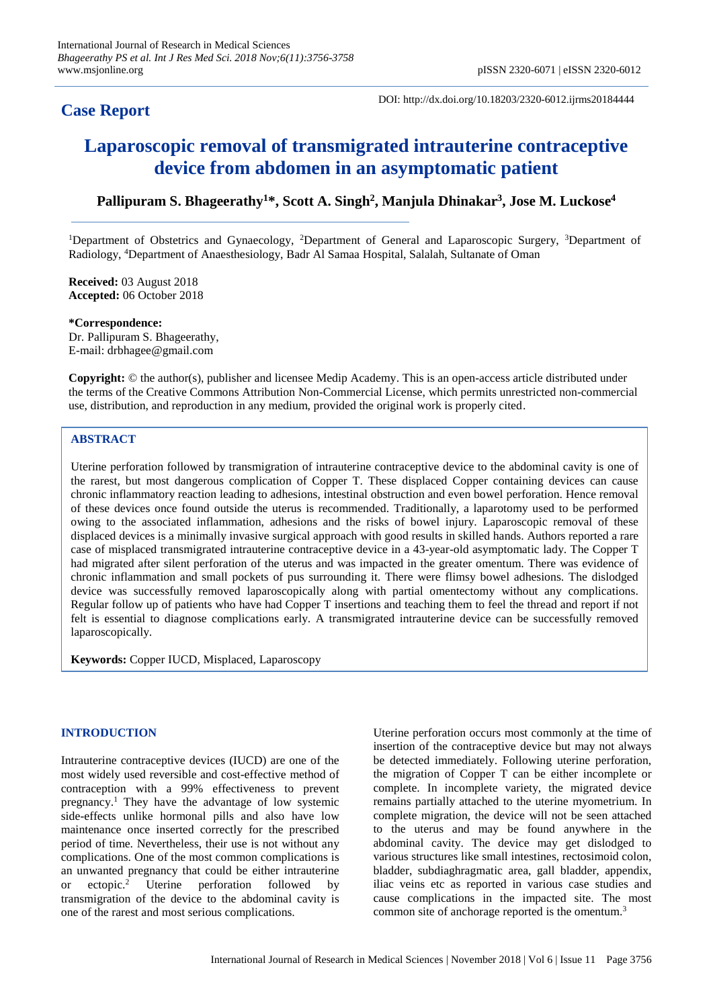# **Case Report**

DOI: http://dx.doi.org/10.18203/2320-6012.ijrms20184444

# **Laparoscopic removal of transmigrated intrauterine contraceptive device from abdomen in an asymptomatic patient**

**Pallipuram S. Bhageerathy<sup>1</sup>\*, Scott A. Singh<sup>2</sup> , Manjula Dhinakar<sup>3</sup> , Jose M. Luckose<sup>4</sup>**

<sup>1</sup>Department of Obstetrics and Gynaecology, <sup>2</sup>Department of General and Laparoscopic Surgery, <sup>3</sup>Department of Radiology, <sup>4</sup>Department of Anaesthesiology, Badr Al Samaa Hospital, Salalah, Sultanate of Oman

**Received:** 03 August 2018 **Accepted:** 06 October 2018

**\*Correspondence:** Dr. Pallipuram S. Bhageerathy, E-mail: drbhagee@gmail.com

**Copyright:** © the author(s), publisher and licensee Medip Academy. This is an open-access article distributed under the terms of the Creative Commons Attribution Non-Commercial License, which permits unrestricted non-commercial use, distribution, and reproduction in any medium, provided the original work is properly cited.

# **ABSTRACT**

Uterine perforation followed by transmigration of intrauterine contraceptive device to the abdominal cavity is one of the rarest, but most dangerous complication of Copper T. These displaced Copper containing devices can cause chronic inflammatory reaction leading to adhesions, intestinal obstruction and even bowel perforation. Hence removal of these devices once found outside the uterus is recommended. Traditionally, a laparotomy used to be performed owing to the associated inflammation, adhesions and the risks of bowel injury. Laparoscopic removal of these displaced devices is a minimally invasive surgical approach with good results in skilled hands. Authors reported a rare case of misplaced transmigrated intrauterine contraceptive device in a 43-year-old asymptomatic lady. The Copper T had migrated after silent perforation of the uterus and was impacted in the greater omentum. There was evidence of chronic inflammation and small pockets of pus surrounding it. There were flimsy bowel adhesions. The dislodged device was successfully removed laparoscopically along with partial omentectomy without any complications. Regular follow up of patients who have had Copper T insertions and teaching them to feel the thread and report if not felt is essential to diagnose complications early. A transmigrated intrauterine device can be successfully removed laparoscopically.

**Keywords:** Copper IUCD, Misplaced, Laparoscopy

# **INTRODUCTION**

Intrauterine contraceptive devices (IUCD) are one of the most widely used reversible and cost-effective method of contraception with a 99% effectiveness to prevent pregnancy. <sup>1</sup> They have the advantage of low systemic side-effects unlike hormonal pills and also have low maintenance once inserted correctly for the prescribed period of time. Nevertheless, their use is not without any complications. One of the most common complications is an unwanted pregnancy that could be either intrauterine or ectopic. <sup>2</sup> Uterine perforation followed by transmigration of the device to the abdominal cavity is one of the rarest and most serious complications.

Uterine perforation occurs most commonly at the time of insertion of the contraceptive device but may not always be detected immediately. Following uterine perforation, the migration of Copper T can be either incomplete or complete. In incomplete variety, the migrated device remains partially attached to the uterine myometrium. In complete migration, the device will not be seen attached to the uterus and may be found anywhere in the abdominal cavity. The device may get dislodged to various structures like small intestines, rectosimoid colon, bladder, subdiaghragmatic area, gall bladder, appendix, iliac veins etc as reported in various case studies and cause complications in the impacted site. The most common site of anchorage reported is the omentum. 3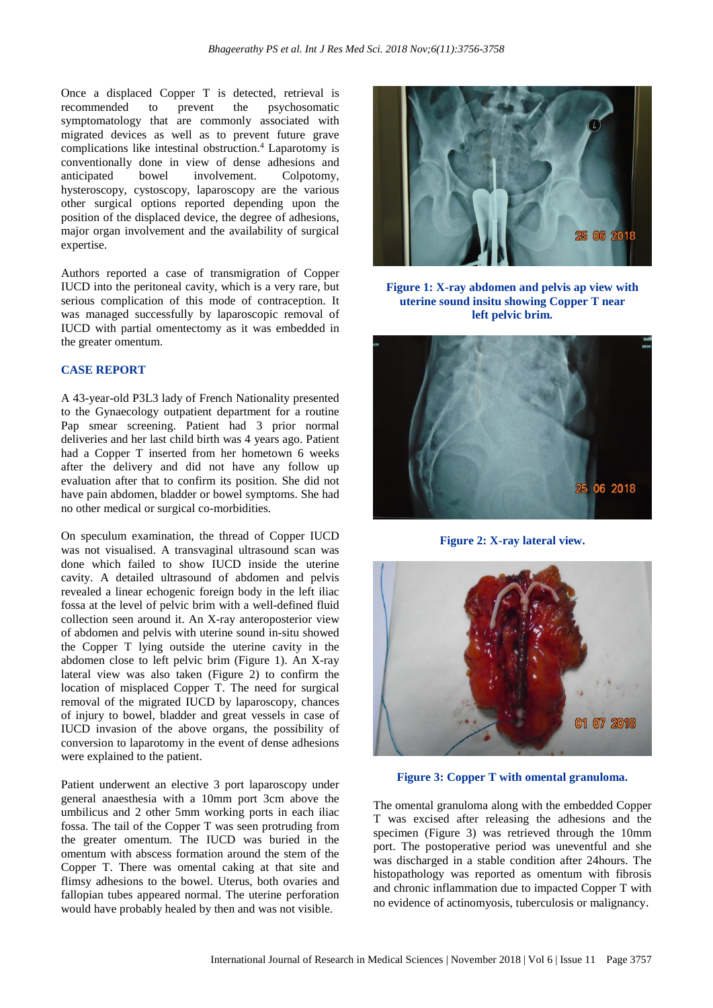Once a displaced Copper T is detected, retrieval is recommended to prevent the psychosomatic symptomatology that are commonly associated with migrated devices as well as to prevent future grave complications like intestinal obstruction. <sup>4</sup> Laparotomy is conventionally done in view of dense adhesions and anticipated bowel involvement. Colpotomy, hysteroscopy, cystoscopy, laparoscopy are the various other surgical options reported depending upon the position of the displaced device, the degree of adhesions, major organ involvement and the availability of surgical expertise.

Authors reported a case of transmigration of Copper IUCD into the peritoneal cavity, which is a very rare, but serious complication of this mode of contraception. It was managed successfully by laparoscopic removal of IUCD with partial omentectomy as it was embedded in the greater omentum.

#### **CASE REPORT**

A 43-year-old P3L3 lady of French Nationality presented to the Gynaecology outpatient department for a routine Pap smear screening. Patient had 3 prior normal deliveries and her last child birth was 4 years ago. Patient had a Copper T inserted from her hometown 6 weeks after the delivery and did not have any follow up evaluation after that to confirm its position. She did not have pain abdomen, bladder or bowel symptoms. She had no other medical or surgical co-morbidities.

On speculum examination, the thread of Copper IUCD was not visualised. A transvaginal ultrasound scan was done which failed to show IUCD inside the uterine cavity. A detailed ultrasound of abdomen and pelvis revealed a linear echogenic foreign body in the left iliac fossa at the level of pelvic brim with a well-defined fluid collection seen around it. An X-ray anteroposterior view of abdomen and pelvis with uterine sound in-situ showed the Copper T lying outside the uterine cavity in the abdomen close to left pelvic brim (Figure 1). An X-ray lateral view was also taken (Figure 2) to confirm the location of misplaced Copper T. The need for surgical removal of the migrated IUCD by laparoscopy, chances of injury to bowel, bladder and great vessels in case of IUCD invasion of the above organs, the possibility of conversion to laparotomy in the event of dense adhesions were explained to the patient.

Patient underwent an elective 3 port laparoscopy under general anaesthesia with a 10mm port 3cm above the umbilicus and 2 other 5mm working ports in each iliac fossa. The tail of the Copper T was seen protruding from the greater omentum. The IUCD was buried in the omentum with abscess formation around the stem of the Copper T. There was omental caking at that site and flimsy adhesions to the bowel. Uterus, both ovaries and fallopian tubes appeared normal. The uterine perforation would have probably healed by then and was not visible.



**Figure 1: X-ray abdomen and pelvis ap view with uterine sound insitu showing Copper T near left pelvic brim.**



**Figure 2: X-ray lateral view.**



**Figure 3: Copper T with omental granuloma.**

The omental granuloma along with the embedded Copper T was excised after releasing the adhesions and the specimen (Figure 3) was retrieved through the 10mm port. The postoperative period was uneventful and she was discharged in a stable condition after 24hours. The histopathology was reported as omentum with fibrosis and chronic inflammation due to impacted Copper T with no evidence of actinomyosis, tuberculosis or malignancy.